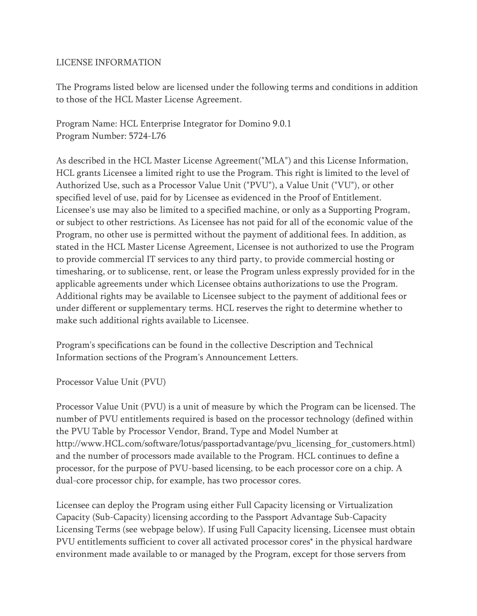## LICENSE INFORMATION

The Programs listed below are licensed under the following terms and conditions in addition to those of the HCL Master License Agreement.

Program Name: HCL Enterprise Integrator for Domino 9.0.1 Program Number: 5724-L76

As described in the HCL Master License Agreement("MLA") and this License Information, HCL grants Licensee a limited right to use the Program. This right is limited to the level of Authorized Use, such as a Processor Value Unit ("PVU"), a Value Unit ("VU"), or other specified level of use, paid for by Licensee as evidenced in the Proof of Entitlement. Licensee's use may also be limited to a specified machine, or only as a Supporting Program, or subject to other restrictions. As Licensee has not paid for all of the economic value of the Program, no other use is permitted without the payment of additional fees. In addition, as stated in the HCL Master License Agreement, Licensee is not authorized to use the Program to provide commercial IT services to any third party, to provide commercial hosting or timesharing, or to sublicense, rent, or lease the Program unless expressly provided for in the applicable agreements under which Licensee obtains authorizations to use the Program. Additional rights may be available to Licensee subject to the payment of additional fees or under different or supplementary terms. HCL reserves the right to determine whether to make such additional rights available to Licensee.

Program's specifications can be found in the collective Description and Technical Information sections of the Program's Announcement Letters.

Processor Value Unit (PVU)

Processor Value Unit (PVU) is a unit of measure by which the Program can be licensed. The number of PVU entitlements required is based on the processor technology (defined within the PVU Table by Processor Vendor, Brand, Type and Model Number at http://www.HCL.com/software/lotus/passportadvantage/pvu\_licensing\_for\_customers.html) and the number of processors made available to the Program. HCL continues to define a processor, for the purpose of PVU-based licensing, to be each processor core on a chip. A dual-core processor chip, for example, has two processor cores.

Licensee can deploy the Program using either Full Capacity licensing or Virtualization Capacity (Sub-Capacity) licensing according to the Passport Advantage Sub-Capacity Licensing Terms (see webpage below). If using Full Capacity licensing, Licensee must obtain PVU entitlements sufficient to cover all activated processor cores\* in the physical hardware environment made available to or managed by the Program, except for those servers from